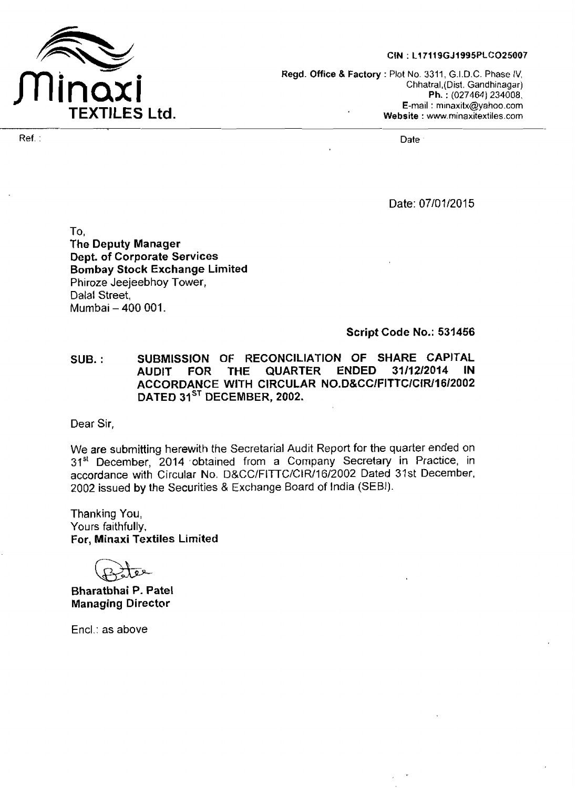

## CIN: L17119GJ1995PLCO25007

**Regd. Office** & **Factory** : Plot No. 3311, G.I.D.C. Phase IV, Chhatral,(Dist. Gandhinagar) **Ph.** : (027464) **234008,**  E-mail : minaxitx@yahoo.com **Website** : **w.minaxitextiles.corn** 

Date: 07/07/2015

To, **The Deputy Manager Dept. of Corporate Services Bombay Stock Exchange Limited**  Phiroze Jeejeebhoy Tower, Dalal Street, Mumbai - 400 001.

**Script Code No.: 531456** 

SUB. : SUBMISSION OF RECONCILIATION OF SHARE CAPITAL<br>AUDIT FOR THE QUARTER ENDED 31/12/2014 IN AUDIT FOR THE QUARTER ENDED 31/12/2014 ACCORDANCE **WITH CIRCULAR NO.D&CCIFITTCIClRI1612002**  DATED 31<sup>ST</sup> DECEMBER, 2002.

Dear **Sir,** 

We **are submitting** herewith the Secretarial Audit Report **for** the quarter **ended** on 31" **December,** 2014 ,obtained from a Company Secretary in Practice, in accordance with Circular No. D&CC/FITTC/CIR/16/2002 Dated 31st December, 2002 **issued by** the Securities & Exchange Board of India (SEBI).

Thanking You, Yours faithfully, For, Minaxi Textiles **Limited** 

**Bharatbhai P. Patel Managing Director** 

Encl.: as above

Ref. : Date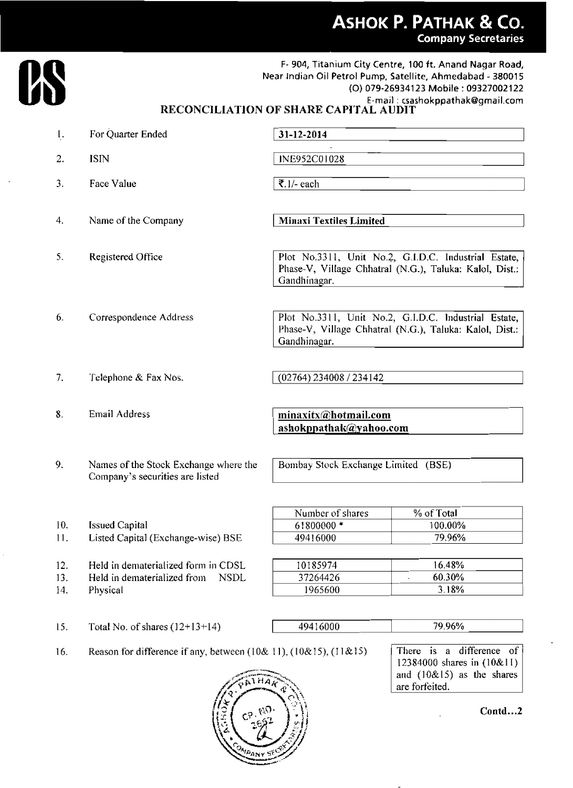

F- **904,** Titanium **City Centre,** 100 **ft. Anand Nagar Road, Near Indian** Oil **Petrol Pump, Satellite, Ahmedabad** - **38001** 5 **(0) 079-26934123 Mobile** : **<sup>09327002122</sup> E-mail** : **csashokppathakBgmail.com** 

## **RECONClLIATlON OF SHARE CAPX'I'AL AUDIT**

| ı.                | For Quarter Ended                                                                             | 31-12-2014                                                                                                                      |                                                                                             |  |
|-------------------|-----------------------------------------------------------------------------------------------|---------------------------------------------------------------------------------------------------------------------------------|---------------------------------------------------------------------------------------------|--|
| 2.                | <b>ISIN</b>                                                                                   | INE952C01028                                                                                                                    |                                                                                             |  |
| 3.                | Face Value                                                                                    | ₹.1/- each                                                                                                                      |                                                                                             |  |
| 4.                | Name of the Company                                                                           | <b>Minaxi Textiles Limited</b>                                                                                                  |                                                                                             |  |
| 5.                | Registered Office                                                                             | Plot No.3311, Unit No.2, G.I.D.C. Industrial Estate,<br>Phase-V, Village Chhatral (N.G.), Taluka: Kalol, Dist.:<br>Gandhinagar. |                                                                                             |  |
| 6.                | Correspondence Address                                                                        | Plot No.3311, Unit No.2, G.I.D.C. Industrial Estate,<br>Phase-V, Village Chhatral (N.G.), Taluka: Kalol, Dist.:<br>Gandhinagar. |                                                                                             |  |
| 7.                | Telephone & Fax Nos.                                                                          | (02764) 234008 / 234142                                                                                                         |                                                                                             |  |
| 8.                | Email Address                                                                                 | minaxitx@hotmail.com<br>ashokppathak@yahoo.com                                                                                  |                                                                                             |  |
| 9.                | Names of the Stock Exchange where the<br>Company's securities are listed                      | Bombay Stock Exchange Limited (BSE)                                                                                             |                                                                                             |  |
| 10.<br>11.        | <b>Issued Capital</b><br>Listed Capital (Exchange-wise) BSE                                   | Number of shares<br>61800000*<br>49416000                                                                                       | % of Total<br>100.00%<br>79.96%                                                             |  |
| 12.<br>13.<br>14. | Held in dematerialized form in CDSL<br>Held in dematerialized from<br><b>NSDL</b><br>Physical | 10185974<br>37264426<br>1965600                                                                                                 | 16.48%<br>60.30%<br>3.18%                                                                   |  |
| 15.               | Total No. of shares $(12+13+14)$                                                              | 49416000                                                                                                                        | 79.96%                                                                                      |  |
| 16.               | Reason for difference if any, between $(10&11)$ , $(10&15)$ , $(11&15)$                       |                                                                                                                                 | difference of<br>There is<br>a<br>12384000 shares in (10&11)<br>and $(10&15)$ as the shares |  |



**Contd** ...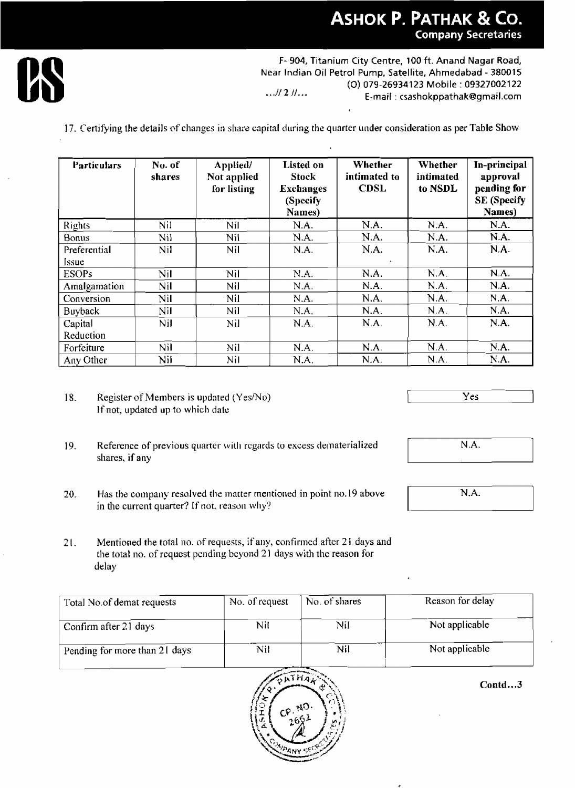

|                       |            |                                                                                                                             |                                                                                                                                                                                                                |                             |                      | <b>Company Secretaries</b>                              |  |  |
|-----------------------|------------|-----------------------------------------------------------------------------------------------------------------------------|----------------------------------------------------------------------------------------------------------------------------------------------------------------------------------------------------------------|-----------------------------|----------------------|---------------------------------------------------------|--|--|
|                       |            |                                                                                                                             | F-904, Titanium City Centre, 100 ft. Anand Nagar Road,<br>Near Indian Oil Petrol Pump, Satellite, Ahmedabad - 380015<br>(O) 079-26934123 Mobile: 09327002122<br>$M2$ $\mu$<br>E-mail: csashokppathak@gmail.com |                             |                      |                                                         |  |  |
| <b>Particulars</b>    | No. of     | 17. Certifying the details of changes in share capital during the quarter under consideration as per Table Show<br>Applied/ | <b>Listed</b> on                                                                                                                                                                                               | Whether                     | Whether              | In-principal                                            |  |  |
|                       | shares     | Not applied<br>for listing                                                                                                  | <b>Stock</b><br><b>Exchanges</b><br>(Specify<br>Names)                                                                                                                                                         | intimated to<br><b>CDSL</b> | intimated<br>to NSDL | approval<br>pending for<br><b>SE</b> (Specify<br>Names) |  |  |
| Rights                | Nil        | Nil                                                                                                                         | N.A.                                                                                                                                                                                                           | NA.                         | N.A.                 | N.A.                                                    |  |  |
| Bonus                 | <b>Nil</b> | Nil                                                                                                                         | N.A.                                                                                                                                                                                                           | N.A.                        | N.A.                 | N.A.                                                    |  |  |
| Preferential<br>Issue | Nil        | <b>Nil</b>                                                                                                                  | N.A.                                                                                                                                                                                                           | N.A.                        | N.A.                 | N.A.                                                    |  |  |
| <b>ESOPs</b>          | Nil        | Nil                                                                                                                         | N.A.                                                                                                                                                                                                           | N.A.                        | N.A.                 | N.A.                                                    |  |  |
| Amalgamation          | Nil        | Nil                                                                                                                         | N.A.                                                                                                                                                                                                           | N.A.                        | N.A.                 | N.A.                                                    |  |  |
| Conversion            | Nil        | Nil                                                                                                                         | N.A.                                                                                                                                                                                                           | N.A.                        | N.A.                 | N.A.                                                    |  |  |
| <b>Buyback</b>        | Nil        | Nil                                                                                                                         | N.A.                                                                                                                                                                                                           | N.A.                        | N.A.                 | N.A.                                                    |  |  |
| Capital<br>Reduction  | Nil        | Nil                                                                                                                         | N.A.                                                                                                                                                                                                           | N.A.                        | N.A.                 | N.A.                                                    |  |  |
| Forfeiture            | Nil        | Nil                                                                                                                         | N.A.                                                                                                                                                                                                           | N.A                         | N.A.                 | N.A.                                                    |  |  |
| Any Other             | Nil        | Nil                                                                                                                         | N.A.                                                                                                                                                                                                           | N.A.                        | N.A.                 | N.A.                                                    |  |  |

- 18. **Register of Members is updated (Yes/No)** If not, updated up to **which dale**
- 19. Reference of previous quarter with regards to excess dematerialized shares, if any
- 20. **Has the company resolved the matter mentioned in point no.19 above** in the current quarter? If not, reason why?

**21.** Mentioned the total no. of requests, if any, confirmed after 21 days and the total no. of request pending beyond 21 days with the reason for delay

| Total No.of demat requests    | No. of request | No. of shares | Reason for delay |
|-------------------------------|----------------|---------------|------------------|
| Confirm after 21 days         | Nil            | Nil           | Not applicable   |
| Pending for more than 21 days | Nil            | Nil           | Not applicable   |



Contd...3

**Yes** 



N.A.